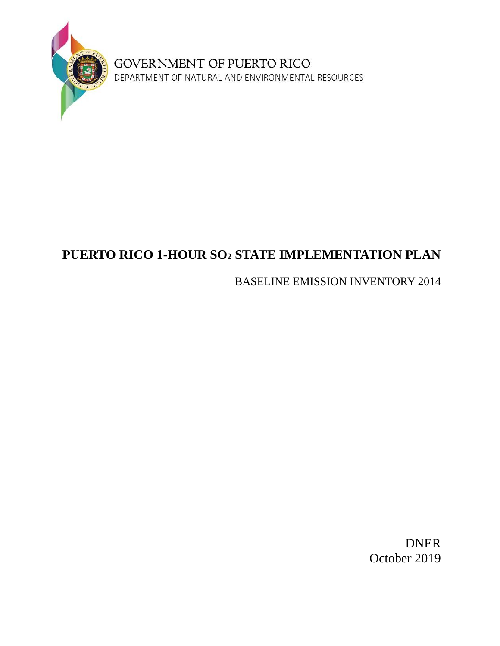

**GOVERNMENT OF PUERTO RICO**<br>DEPARTMENT OF NATURAL AND ENVIRONMENTAL RESOURCES

# **PUERTO RICO 1-HOUR SO<sup>2</sup> STATE IMPLEMENTATION PLAN**

## BASELINE EMISSION INVENTORY 2014

DNER October 2019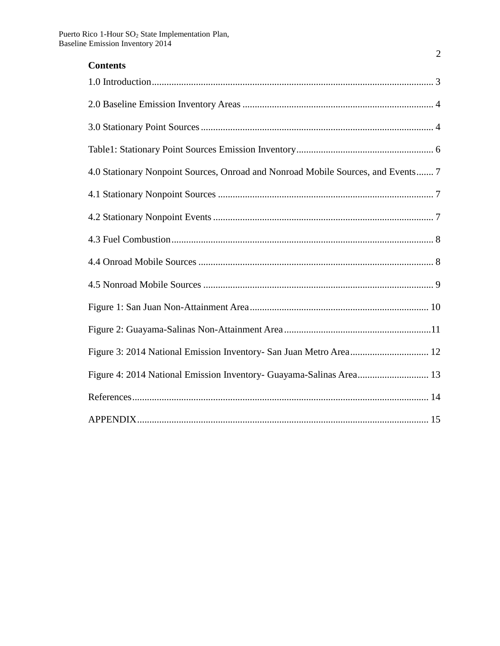| <b>Contents</b>                                                                  |
|----------------------------------------------------------------------------------|
|                                                                                  |
|                                                                                  |
|                                                                                  |
|                                                                                  |
| 4.0 Stationary Nonpoint Sources, Onroad and Nonroad Mobile Sources, and Events 7 |
|                                                                                  |
|                                                                                  |
|                                                                                  |
|                                                                                  |
|                                                                                  |
|                                                                                  |
|                                                                                  |
|                                                                                  |
|                                                                                  |
|                                                                                  |
|                                                                                  |

2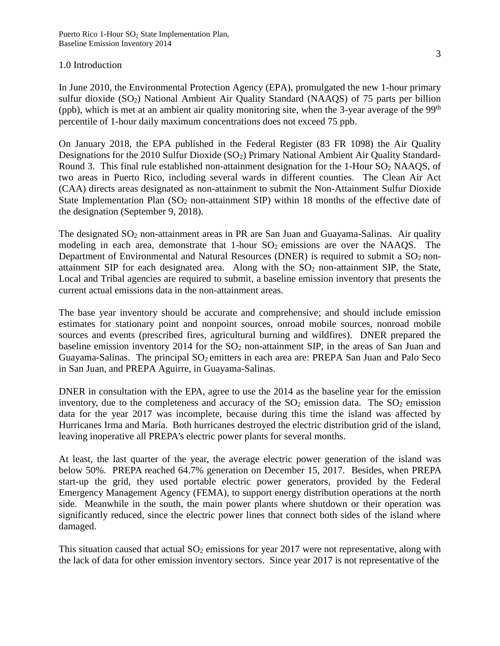### <span id="page-2-0"></span>1.0 Introduction

In June 2010, the Environmental Protection Agency (EPA), promulgated the new 1-hour primary sulfur dioxide  $(SO_2)$  National Ambient Air Quality Standard (NAAQS) of 75 parts per billion (ppb), which is met at an ambient air quality monitoring site, when the 3-year average of the 99<sup>th</sup> percentile of 1-hour daily maximum concentrations does not exceed 75 ppb.

On January 2018, the EPA published in the Federal Register (83 FR 1098) the Air Quality Designations for the 2010 Sulfur Dioxide (SO<sub>2</sub>) Primary National Ambient Air Quality Standard-Round 3. This final rule established non-attainment designation for the 1-Hour  $SO<sub>2</sub>$  NAAQS, of two areas in Puerto Rico, including several wards in different counties. The Clean Air Act (CAA) directs areas designated as non-attainment to submit the Non-Attainment Sulfur Dioxide State Implementation Plan  $(SO<sub>2</sub>$  non-attainment SIP) within 18 months of the effective date of the designation (September 9, 2018).

The designated SO<sub>2</sub> non-attainment areas in PR are San Juan and Guayama-Salinas. Air quality modeling in each area, demonstrate that  $1$ -hour  $SO_2$  emissions are over the NAAQS. The Department of Environmental and Natural Resources (DNER) is required to submit a  $SO_2$  nonattainment SIP for each designated area. Along with the  $SO<sub>2</sub>$  non-attainment SIP, the State, Local and Tribal agencies are required to submit, a baseline emission inventory that presents the current actual emissions data in the non-attainment areas.

The base year inventory should be accurate and comprehensive; and should include emission estimates for stationary point and nonpoint sources, onroad mobile sources, nonroad mobile sources and events (prescribed fires, agricultural burning and wildfires). DNER prepared the baseline emission inventory 2014 for the  $SO<sub>2</sub>$  non-attainment SIP, in the areas of San Juan and Guayama-Salinas. The principal SO<sub>2</sub> emitters in each area are: PREPA San Juan and Palo Seco in San Juan, and PREPA Aguirre, in Guayama-Salinas.

DNER in consultation with the EPA, agree to use the 2014 as the baseline year for the emission inventory, due to the completeness and accuracy of the  $SO<sub>2</sub>$  emission data. The  $SO<sub>2</sub>$  emission data for the year 2017 was incomplete, because during this time the island was affected by Hurricanes Irma and María. Both hurricanes destroyed the electric distribution grid of the island, leaving inoperative all PREPA's electric power plants for several months.

At least, the last quarter of the year, the average electric power generation of the island was below 50%. PREPA reached 64.7% generation on December 15, 2017. Besides, when PREPA start-up the grid, they used portable electric power generators, provided by the Federal Emergency Management Agency (FEMA), to support energy distribution operations at the north side. Meanwhile in the south, the main power plants where shutdown or their operation was significantly reduced, since the electric power lines that connect both sides of the island where damaged.

This situation caused that actual  $SO_2$  emissions for year 2017 were not representative, along with the lack of data for other emission inventory sectors. Since year 2017 is not representative of the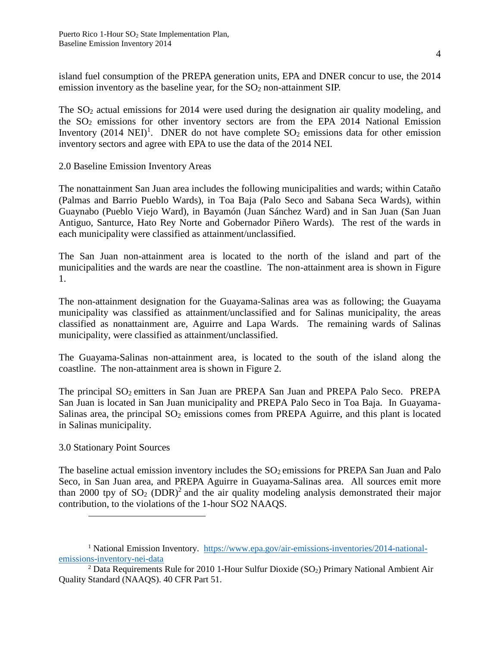island fuel consumption of the PREPA generation units, EPA and DNER concur to use, the 2014 emission inventory as the baseline year, for the  $SO<sub>2</sub>$  non-attainment SIP.

The  $SO<sub>2</sub>$  actual emissions for 2014 were used during the designation air quality modeling, and the  $SO<sub>2</sub>$  emissions for other inventory sectors are from the EPA 2014 National Emission Inventory (2014 NEI)<sup>1</sup>. DNER do not have complete  $SO_2$  emissions data for other emission inventory sectors and agree with EPA to use the data of the 2014 NEI.

<span id="page-3-0"></span>2.0 Baseline Emission Inventory Areas

The nonattainment San Juan area includes the following municipalities and wards; within Cataño (Palmas and Barrio Pueblo Wards), in Toa Baja (Palo Seco and Sabana Seca Wards), within Guaynabo (Pueblo Viejo Ward), in Bayamón (Juan Sánchez Ward) and in San Juan (San Juan Antiguo, Santurce, Hato Rey Norte and Gobernador Piñero Wards). The rest of the wards in each municipality were classified as attainment/unclassified.

The San Juan non-attainment area is located to the north of the island and part of the municipalities and the wards are near the coastline. The non-attainment area is shown in Figure 1.

The non-attainment designation for the Guayama-Salinas area was as following; the Guayama municipality was classified as attainment/unclassified and for Salinas municipality, the areas classified as nonattainment are, Aguirre and Lapa Wards. The remaining wards of Salinas municipality, were classified as attainment/unclassified.

The Guayama-Salinas non-attainment area, is located to the south of the island along the coastline. The non-attainment area is shown in Figure 2.

The principal SO<sub>2</sub> emitters in San Juan are PREPA San Juan and PREPA Palo Seco. PREPA San Juan is located in San Juan municipality and PREPA Palo Seco in Toa Baja. In Guayama-Salinas area, the principal  $SO<sub>2</sub>$  emissions comes from PREPA Aguirre, and this plant is located in Salinas municipality.

## <span id="page-3-1"></span>3.0 Stationary Point Sources

 $\overline{a}$ 

The baseline actual emission inventory includes the  $SO<sub>2</sub>$  emissions for PREPA San Juan and Palo Seco, in San Juan area, and PREPA Aguirre in Guayama-Salinas area. All sources emit more than 2000 tpy of  $SO_2$  (DDR)<sup>2</sup> and the air quality modeling analysis demonstrated their major contribution, to the violations of the 1-hour SO2 NAAQS.

<sup>&</sup>lt;sup>1</sup> National Emission Inventory. [https://www.epa.gov/air-emissions-inventories/2014-national](https://www.epa.gov/air-emissions-inventories/2014-national-emissions-inventory-nei-data)[emissions-inventory-nei-data](https://www.epa.gov/air-emissions-inventories/2014-national-emissions-inventory-nei-data)

 $2$  Data Requirements Rule for 2010 1-Hour Sulfur Dioxide (SO<sub>2</sub>) Primary National Ambient Air Quality Standard (NAAQS). 40 CFR Part 51.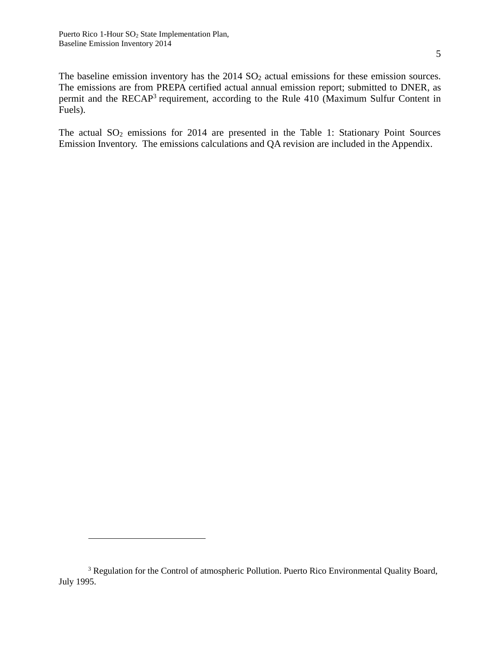$\overline{a}$ 

The baseline emission inventory has the 2014 SO<sub>2</sub> actual emissions for these emission sources. The emissions are from PREPA certified actual annual emission report; submitted to DNER, as permit and the RECAP<sup>3</sup> requirement, according to the Rule 410 (Maximum Sulfur Content in Fuels).

The actual  $SO_2$  emissions for 2014 are presented in the Table 1: Stationary Point Sources Emission Inventory. The emissions calculations and QA revision are included in the Appendix.

<sup>&</sup>lt;sup>3</sup> Regulation for the Control of atmospheric Pollution. Puerto Rico Environmental Quality Board, July 1995.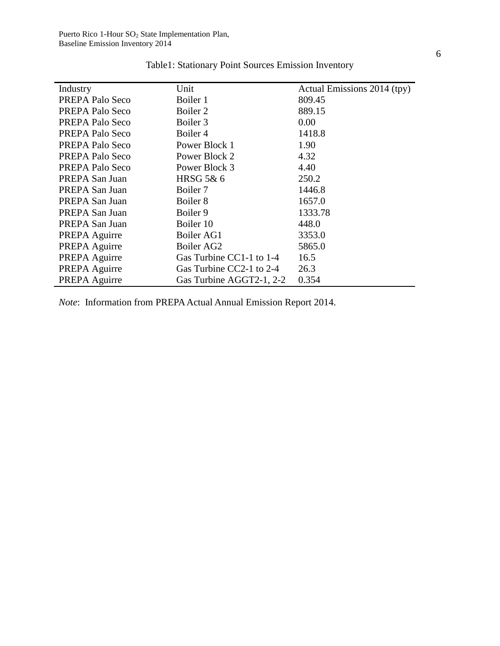<span id="page-5-0"></span>

| Industry        | Unit                     | Actual Emissions 2014 (tpy) |
|-----------------|--------------------------|-----------------------------|
| PREPA Palo Seco | Boiler 1                 | 809.45                      |
| PREPA Palo Seco | Boiler 2                 | 889.15                      |
| PREPA Palo Seco | Boiler 3                 | 0.00                        |
| PREPA Palo Seco | Boiler 4                 | 1418.8                      |
| PREPA Palo Seco | Power Block 1            | 1.90                        |
| PREPA Palo Seco | Power Block 2            | 4.32                        |
| PREPA Palo Seco | Power Block 3            | 4.40                        |
| PREPA San Juan  | HRSG 5& 6                | 250.2                       |
| PREPA San Juan  | Boiler 7                 | 1446.8                      |
| PREPA San Juan  | Boiler <sub>8</sub>      | 1657.0                      |
| PREPA San Juan  | Boiler 9                 | 1333.78                     |
| PREPA San Juan  | Boiler 10                | 448.0                       |
| PREPA Aguirre   | Boiler AG1               | 3353.0                      |
| PREPA Aguirre   | Boiler AG2               | 5865.0                      |
| PREPA Aguirre   | Gas Turbine CC1-1 to 1-4 | 16.5                        |
| PREPA Aguirre   | Gas Turbine CC2-1 to 2-4 | 26.3                        |
| PREPA Aguirre   | Gas Turbine AGGT2-1, 2-2 | 0.354                       |

Table1: Stationary Point Sources Emission Inventory

*Note*: Information from PREPA Actual Annual Emission Report 2014.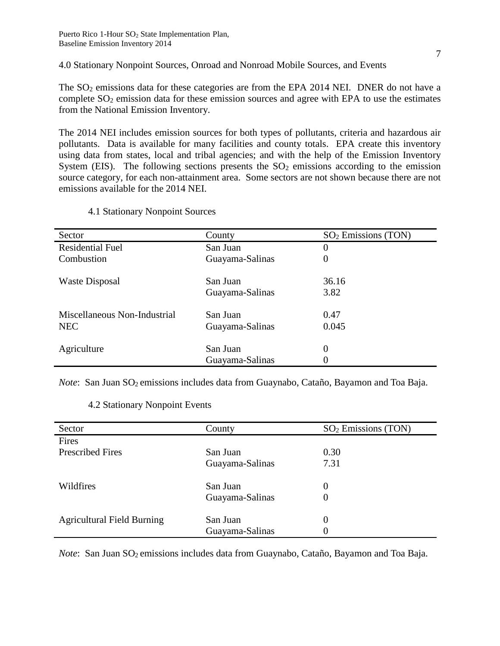<span id="page-6-0"></span>4.0 Stationary Nonpoint Sources, Onroad and Nonroad Mobile Sources, and Events

The SO<sub>2</sub> emissions data for these categories are from the EPA 2014 NEI. DNER do not have a complete  $SO_2$  emission data for these emission sources and agree with EPA to use the estimates from the National Emission Inventory.

The 2014 NEI includes emission sources for both types of pollutants, criteria and hazardous air pollutants. Data is available for many facilities and county totals. EPA create this inventory using data from states, local and tribal agencies; and with the help of the Emission Inventory System (EIS). The following sections presents the  $SO<sub>2</sub>$  emissions according to the emission source category, for each non-attainment area. Some sectors are not shown because there are not emissions available for the 2014 NEI.

<span id="page-6-1"></span>

| County          | $SO2$ Emissions (TON) |
|-----------------|-----------------------|
| San Juan        | 0                     |
| Guayama-Salinas | 0                     |
|                 |                       |
| San Juan        | 36.16                 |
| Guayama-Salinas | 3.82                  |
|                 |                       |
|                 | 0.47                  |
| Guayama-Salinas | 0.045                 |
|                 |                       |
| San Juan        | 0                     |
| Guayama-Salinas |                       |
|                 | San Juan              |

### 4.1 Stationary Nonpoint Sources

<span id="page-6-2"></span>*Note*: San Juan SO<sub>2</sub> emissions includes data from Guaynabo, Cataño, Bayamon and Toa Baja.

#### 4.2 Stationary Nonpoint Events

| Sector                            | County          | $SO2$ Emissions (TON) |
|-----------------------------------|-----------------|-----------------------|
| Fires                             |                 |                       |
| <b>Prescribed Fires</b>           | San Juan        | 0.30                  |
|                                   | Guayama-Salinas | 7.31                  |
| Wildfires                         | San Juan        | $\theta$              |
|                                   | Guayama-Salinas | 0                     |
| <b>Agricultural Field Burning</b> | San Juan        | $\theta$              |
|                                   | Guayama-Salinas | O                     |

*Note*: San Juan SO<sub>2</sub> emissions includes data from Guaynabo, Cataño, Bayamon and Toa Baja.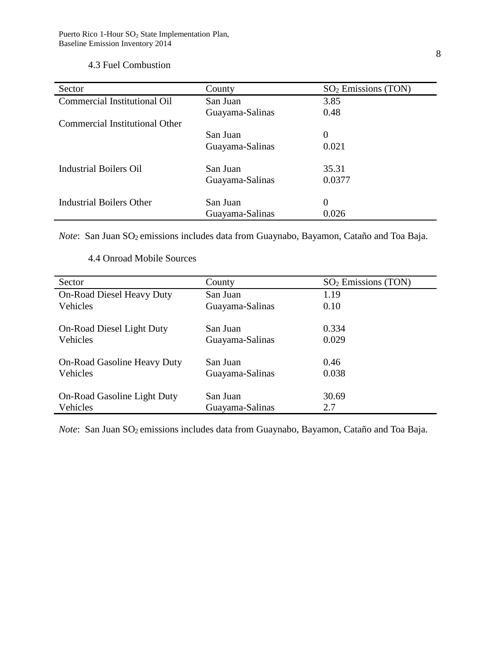## <span id="page-7-0"></span>4.3 Fuel Combustion

| Sector                          | County          | $SO2$ Emissions (TON) |
|---------------------------------|-----------------|-----------------------|
| Commercial Institutional Oil    | San Juan        | 3.85                  |
|                                 | Guayama-Salinas | 0.48                  |
| Commercial Institutional Other  |                 |                       |
|                                 | San Juan        | 0                     |
|                                 | Guayama-Salinas | 0.021                 |
| Industrial Boilers Oil          | San Juan        | 35.31                 |
|                                 | Guayama-Salinas | 0.0377                |
| <b>Industrial Boilers Other</b> | San Juan        | 0                     |
|                                 | Guayama-Salinas | 0.026                 |

*Note*: San Juan SO<sub>2</sub> emissions includes data from Guaynabo, Bayamon, Cataño and Toa Baja.

<span id="page-7-1"></span>

| Sector                             | County          | $SO2$ Emissions (TON) |
|------------------------------------|-----------------|-----------------------|
| <b>On-Road Diesel Heavy Duty</b>   | San Juan        | 1.19                  |
| Vehicles                           | Guayama-Salinas | 0.10                  |
|                                    |                 |                       |
| On-Road Diesel Light Duty          | San Juan        | 0.334                 |
| Vehicles                           | Guayama-Salinas | 0.029                 |
|                                    |                 |                       |
| <b>On-Road Gasoline Heavy Duty</b> | San Juan        | 0.46                  |
| Vehicles                           | Guayama-Salinas | 0.038                 |
|                                    |                 |                       |
| On-Road Gasoline Light Duty        | San Juan        | 30.69                 |
| Vehicles                           | Guayama-Salinas | 2.7                   |

4.4 Onroad Mobile Sources

*Note*: San Juan SO<sub>2</sub> emissions includes data from Guaynabo, Bayamon, Cataño and Toa Baja.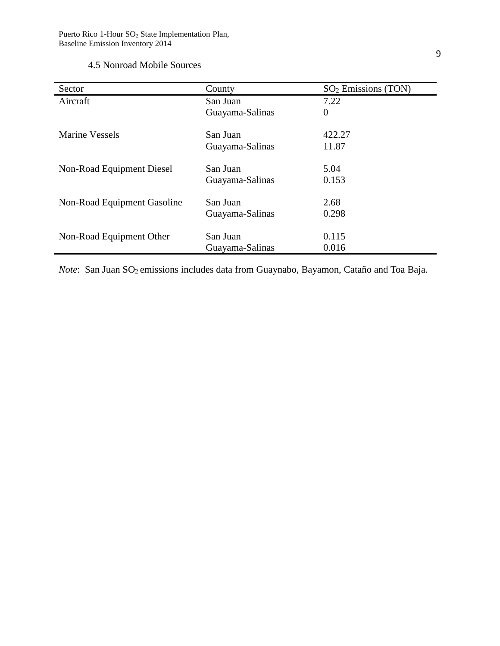## 4.5 Nonroad Mobile Sources

<span id="page-8-0"></span>

| Sector                      | County          | $SO2$ Emissions (TON) |
|-----------------------------|-----------------|-----------------------|
| Aircraft                    | San Juan        | 7.22                  |
|                             | Guayama-Salinas | $\overline{0}$        |
| Marine Vessels              | San Juan        | 422.27                |
|                             | Guayama-Salinas | 11.87                 |
| Non-Road Equipment Diesel   | San Juan        | 5.04                  |
|                             | Guayama-Salinas | 0.153                 |
| Non-Road Equipment Gasoline | San Juan        | 2.68                  |
|                             | Guayama-Salinas | 0.298                 |
| Non-Road Equipment Other    | San Juan        | 0.115                 |
|                             | Guayama-Salinas | 0.016                 |

*Note*: San Juan SO<sub>2</sub> emissions includes data from Guaynabo, Bayamon, Cataño and Toa Baja.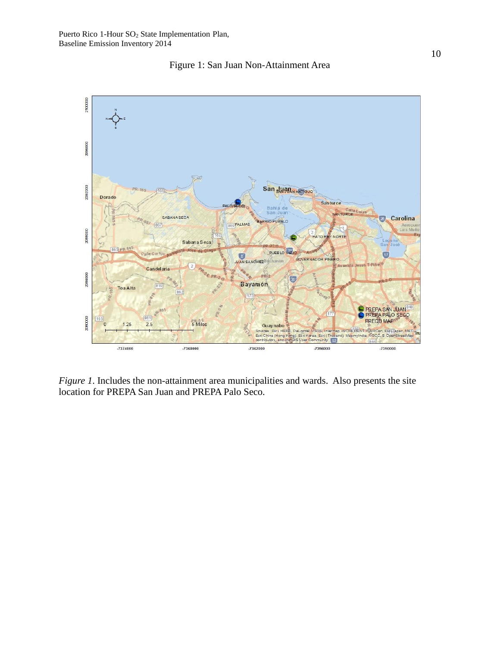

<span id="page-9-0"></span>

*Figure 1*. Includes the non-attainment area municipalities and wards. Also presents the site location for PREPA San Juan and PREPA Palo Seco.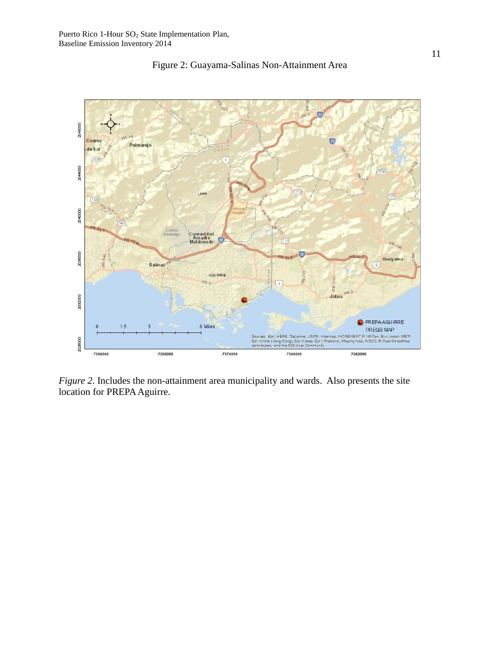<span id="page-10-0"></span>

Figure 2: Guayama-Salinas Non-Attainment Area

*Figure 2*. Includes the non-attainment area municipality and wards. Also presents the site location for PREPA Aguirre.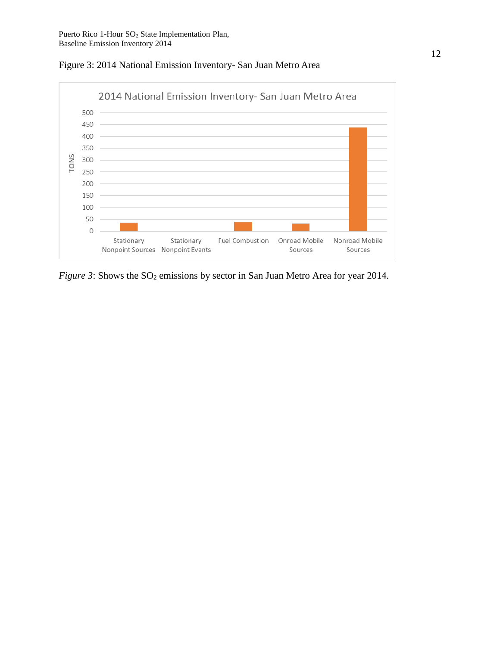

<span id="page-11-0"></span>Figure 3: 2014 National Emission Inventory- San Juan Metro Area

*Figure 3*: Shows the SO<sub>2</sub> emissions by sector in San Juan Metro Area for year 2014.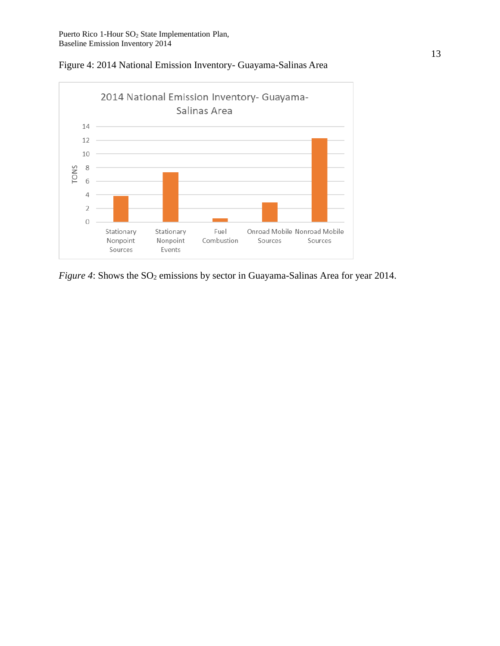

<span id="page-12-0"></span>Figure 4: 2014 National Emission Inventory- Guayama-Salinas Area

*Figure 4*: Shows the SO<sub>2</sub> emissions by sector in Guayama-Salinas Area for year 2014.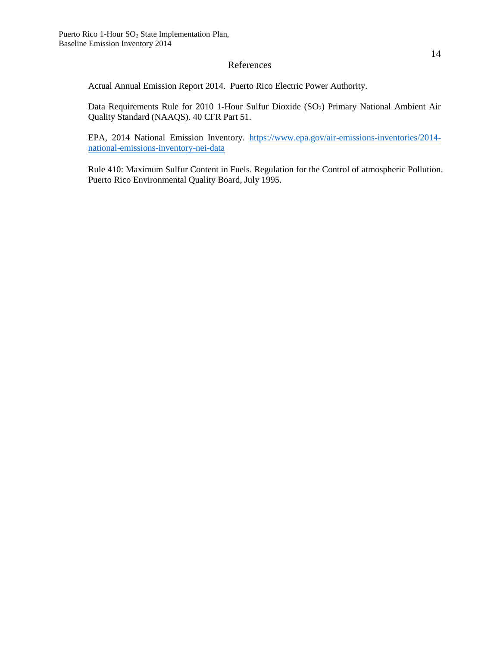#### References

<span id="page-13-0"></span>Actual Annual Emission Report 2014. Puerto Rico Electric Power Authority.

Data Requirements Rule for 2010 1-Hour Sulfur Dioxide (SO<sub>2</sub>) Primary National Ambient Air Quality Standard (NAAQS). 40 CFR Part 51.

EPA, 2014 National Emission Inventory. [https://www.epa.gov/air-emissions-inventories/2014](https://www.epa.gov/air-emissions-inventories/2014-national-emissions-inventory-nei-data) [national-emissions-inventory-nei-data](https://www.epa.gov/air-emissions-inventories/2014-national-emissions-inventory-nei-data)

Rule 410: Maximum Sulfur Content in Fuels. Regulation for the Control of atmospheric Pollution. Puerto Rico Environmental Quality Board, July 1995.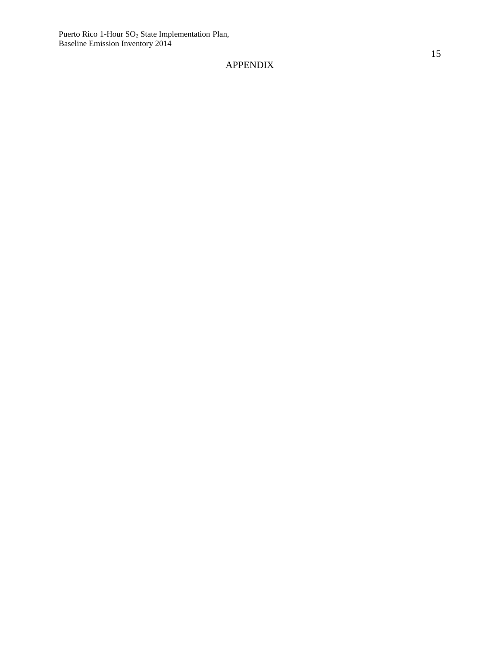## <span id="page-14-0"></span>APPENDIX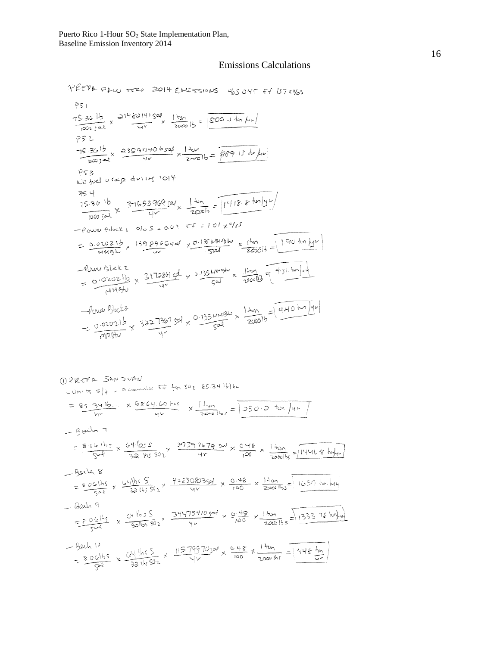#### Emissions Calculations

PREPA PLUSEED 2014 ENESSIONS OF OUT ET 157x965 PS 1 75.36 15 x 214 82141 500 x 1 ton 15 =  $\frac{1000 \text{ J} \times 1000 \text{ kg}}{1000 \text{ J}}$  $PS2$  $\frac{75.3615}{10003} \times \frac{23597406599}{75} \times \frac{1401}{200015} = \frac{669.1545 \mu}{10005}$  $952$ PS3<br>No fuel usage during 2014  $\frac{75.36^{16}}{100051} \times \frac{37653969596}{45} \times \frac{140}{200016} = 1418.8 \text{ln/yr}$  $-$  power Block  $1 - 0 = 5 = 0.02$  Ef = 1.01  $\times 0/15$ = 0.02021b, 1398965500 x 0.135 1410 x (ton 1910 ton /y ) -Power Block 2<br>= 0.02021b x 3172861 get x 0.1154mb/v x 1/2mg = 4.32 ton/1/2 Power Block 2  $f_{\text{out}} = \frac{1}{20000}$   $h = \frac{1}{2000}$   $h = \frac{1}{2000}$   $h = \frac{1}{2000}$   $h = \frac{1}{2000}$   $h = \frac{1}{2000}$   $h = \frac{1}{2000}$   $h = \frac{1}{2000}$ Power Blocks

MPREPA SANDUAN  $-$ Units  $s|_{\ell}$  , is usually  $\epsilon$  for set  $\epsilon$  ss 34 lb) hu = 85.341b. x 5864.60 his x  $\frac{1}{2000151}$  = 350.2 ton /44  $-$  Both  $7$ =  $\frac{8.06 \text{ h/s}}{500} \times \frac{64 \text{ h/s}}{32 \text{ h/s}} \times \frac{39397679 \text{ s}}{4r} \times \frac{0.48}{100} \times \frac{1 + 0}{2000 \text{ h/s}} = 1446.8 \text{ hylw}$ - Beiler 8 = 9.061bs x  $\frac{641h55}{301h5502}$  x  $\frac{428308035h}{4v}$  x  $\frac{0.48}{100}$  x  $\frac{1.70h}{20001h5}$  = 1657 turky  $-$  hals 9  $\frac{1200h}{9}$ <br>= 8.06ths x  $\frac{c4 \text{hs}}{300}$  x  $\frac{3447541050^{8}}{100}$  x  $\frac{49}{100}$  x  $\frac{1 \text{thm}}{200015}$  = 1333.16 hy/m) - Both 10<br>- 8.061bs x  $\frac{64 \text{ l} \cdot 5}{32 \text{ l} \cdot 592}$  x  $\frac{11579970360}{11 \times}$  x  $\frac{0.48}{100}$  x  $\frac{1 \text{ ton}}{2000 \text{ l} \cdot 5}$  =  $\frac{448 \text{ lb}}{1 \text{ cm}}$